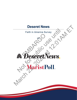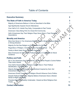### Table of Contents

| <b>Executive Summary</b>                                                                                      | 2               |
|---------------------------------------------------------------------------------------------------------------|-----------------|
| The State of Faith in America Today                                                                           | 3               |
| Majority of Americans Believe in God as Described in the Bible                                                | 3               |
| Age Significantly Impacts Church Attendance                                                                   |                 |
| Over Half of U.S. Adults Pray Daily, Comparable to Past Trends                                                |                 |
| Americans Value Being Part of a Close-Knit Community                                                          |                 |
| Half of Americans Say Their Religion Plays Some Role in Their Personal<br><b>Associations</b>                 | 5               |
| <b>Morality and America</b>                                                                                   | 6               |
| More than Seven in Ten Americans Believe Nation's Moral Compass Pointed<br>in Wrong Direction                 | 6               |
| Majority Do Not See Religion as Requirement for Morality                                                      | 7               |
| Regardless of Religion, Americans Value the Golden Rule                                                       | 7               |
| <b>Family is Most Likely Source of Moral Guidance</b>                                                         | 8               |
| Most Americans Do Not Look to Political Leaders or Celebrities for Moral                                      |                 |
| Guidance                                                                                                      | 8               |
| <b>Politics and Faith</b>                                                                                     | 9               |
| Six in Ten Americans Say Future of the Country in the People's Control Rather<br><b>Than God's Hands</b>      | 9               |
| Over Half of Americans Say Religion Has No Role in Their Political<br><b>Identification, Christians Split</b> | 9               |
| Majority Believe Constitution & 1st Amendment Inspired by God. 2nd<br><b>Amendment Not So Much</b>            | 10              |
| Americans Divide Over Whether Religion Should Influence One's Politics                                        | 11              |
| Despite Political Differences, Majority Believe Americans Have a Shared<br>Sense of Right and Wrong           | 11              |
| President Biden Favorability Underwater, Viewed as More Religious than<br><b>Trump</b>                        | 12 <sub>2</sub> |
| <b>Contact Information</b>                                                                                    | 13              |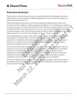#### <span id="page-2-0"></span>**Executive Summary**

This Deseret News: Faith in America Survey, conducted by the Marist Poll, sheds light on the state of faith in America, and how Americans of different backgrounds do or do not incorporate religion and faith into key aspects of their lives.

With the demographic characteristics of the American population shifting as baby boomers enter retirement, the state of religion is reaching a tipping point. Religious service attendance has continued to trend downward over the past decade, despite over half of Americans saying they believe in God as described in the Bible or pray daily. Age is shown to be one of the strongest indicators of whether or not one attends religious services. With younger age groups less likely to attend religious services than their older counterparts, the downward trend of religious attendance is likely to continue.

As the demographic face of religion within America changes, so does the role religion plays in society. All generations of Americans believe it is necessary to follow the Golden Rule; however, younger generations are less likely than their older counterparts to believe that being religious is necessary in order to live a moral life. Americans find themselves looking to family more often than religious teachings when looking for sources of moral guidance.

The connection between faith and politics is also at an interesting crossroads. Although a majority of Americans do not feel as though their religion plays a role in their political affiliation, one's political stance can be a strong indicator of the role they feel religion does and should play in society. Republicans are more likely than Democrats to believe the future of the nation lies in God's hands rather than in the American people's control, and Republicans are also more likely to see divine inspiration as having a hand in the creation of the Constitution and key Amendments. ownward trend or rengious attendance is<br>of religion within America changes, so do<br>cans believe it is necessary to follow the G<br>y than their older counterparts to believe t<br>Americans find themselves looking to fan<br>or source Bible or pray daily. Age is shown to be one of the strongest indicators of which is services. With younger age groups less likely to attend religions services the downward trend of religions attendance is likely to continu

The future of religion in America is closely tied to the changing demographic makeup of the nation. As the population ages and becomes more politically polarized, the importance of and role that religion plays in society will continue to change and evolve.

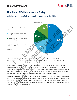#### <span id="page-3-0"></span>**The State of Faith in America Today**

<span id="page-3-1"></span>Majority of Americans Believe in God as Described in the Bible



54% of Americans report they believe in God as described in the Bible. This includes 86% of all those who practice a religion and about one in three (33%) individuals who report they do not practice a religion.

A direct correlation exists between age and belief in God. Americans 60 or older (69%) are the most likely to report they believe in the Biblical description of God followed by those aged 45 to 59 (62%). Americans 30 to 44 (50%) and those 18 to 29 (31%) are less likely to believe the same. Among those 18 to 29, 20% believe in God but not as described in the Bible, 24% believe in a higher power but not God, and an identical 24% do not believe in God or any higher power or spiritual force.

Regardless of whether they practice a religion or not, many Americans (71%) consider themselves to be spiritual. Among these individuals, 69% believe in God as described in the Bible. Spirituality increases with age, with 57% of those 18-29 considering themselves spiritual, 62% of those 30-44, 79% of those 45-59, and 83% of those 60 or older reporting themselves to be spiritual or very spiritual, regardless of whether or not they practice a religion.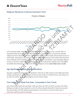#### Religious Attendance Continues Downward Trend



**Practice a Religion**

40% of national adults report attending religious services at least once or twice a month. This is a noticeable decline from an April 2011 Marist Poll which revealed that 52% of Americans attended religious services at least once or twice a month. 30% of U.S. adults currently attend church services at least weekly. Among those who practice a religion, 75% attend services at least weekly. More than four in ten Christians (41%), including 45% of Protestants and 30% of Catholics, report attending religious services on at least a weekly basis. Protestants (15%) are more likely than Catholics (6%) and slightly more likely than Christians, overall, (12%) to attend religious services **more than once a week.**

#### <span id="page-4-0"></span>Age Significantly Impacts Church Attendance

Age plays a significant role in religious attendance. Those 60 or older (43%) are more likely than their younger counterparts to attend religious services at least weekly. 21% of those 18-29, 25% of those 30- 44, and 27% of those 45-59 attend religious services at least weekly.

#### <span id="page-4-1"></span>Over Half of U.S. Adults Pray Daily, Comparable to Past Trends

53% of Americans report they pray daily, while more than one in five (22%) do not pray at all. These findings are similar to those reported in a 2007 Pew Research poll when 58% of Americans reported they prayed daily, and 18% said they prayed seldom or not at all. In a 2014 Pew study, 55% of Americans said they prayed at least daily.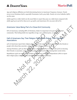Age and religious affiliation are both determining factors in Americans' frequency of prayer. Nearly seven in ten Christians (69%), especially Protestants (74%), pray daily. Nearly six in ten Catholics (58%) say the same.

Adults aged 60 or older (69%) are the most likely to report they pray on a daily basis compared with adults aged 45 to 59 (61%), those 30 to 44 (49%), and Americans 18 to 29 years old (27%).

#### <span id="page-5-0"></span>Americans Value Being Part of a Close-Knit Community

87% of Americans, including 88% of Christians, think it is important to be part of a close-knit community. This feeling holds true regardless of age, race, political party, or religion.

# <span id="page-5-1"></span>Half of Americans Say Their Religion Plays Some Role in Their Personal **Associations** Say Their Religion Plays Some R<br>their religion plays a major role (22%) or<br>ssociate. 49% report their religion plays n<br>ay their religion plays a major role (28%)<br>s. 40% say religion plays no role at all in d<br>early twice as

50% of Americans report their religion plays a major role (22%) or minor role (28%) in the friends or people with whom they associate. 49% report their religion plays no role at all.

Among Christians, 59% say their religion plays a major role (28%) or a minor role (31%) in choosing their friends or associates. 40% say religion plays no role at all in determining their social circles.

Republicans (35%) are nearly twice as likely as Democrats (18%) and Independents (18%) to report their religion plays a **major** role in deciding with whom they spend time.

Some Religion and Their Contratt of the part of a plote-kind for the publical party, or religion to the form of the public use until the part of a plote-kind for the regardless of age, race, political party, or religion ca The Statute Being Part of a Close-Knit Community<br>
tericans, including 88% of Christians, think it is important to be part of a Marc-knit<br>
This feeling holds true regardless of age, race, political party, or relinging<br>
meri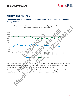#### <span id="page-6-0"></span>**Morality and America**

<span id="page-6-1"></span>More than Seven in Ten Americans Believe Nation's Moral Compass Pointed in Wrong Direction



72% of Americans think the nation's moral compass is pointed in the wrong direction while 22% believe it is pointed in the right one. 74% of Christians believe the nation's morals are headed in the wrong direction, as does a majority of Americans who do not practice a religion (69%).

Bipartisan consensus exists when it comes to believing the nation's moral compass is broken. 90% of Republicans, 77% of Independents, and 51% of Democrats are in agreement on this.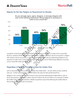#### <span id="page-7-0"></span>Majority Do Not See Religion as Requirement for Morality



**Do you strongly agree, agree, disagree, or strongly disagree with each of the following statements: Being religious is necessary in** 

A majority of Americans (65%) do not think being religious is necessary in order to live a moral life. However, opinions divide among those who practice a religion and those who do not practice a religion. 78% of those who do not practice a religion, compared with 46% who do, think being religious is not necessary in order to live a moral life. Among Christians, 54% do not think being religious is necessary to live a moral life while 45% believe it is.

#### <span id="page-7-1"></span>Regardless of Religion, Americans Value the Golden Rule

92% of Americans think it is necessary to follow the Golden Rule – do unto others as they would do unto you - in their personal lives, and 88% believe the same for their professional lives.

Religion is not a strong factor when it comes to how necessary following the Golden Rule is. 93% of those who practice a religion as a whole, and 91% of those who do not, believe it is necessary to follow the Golden rule in their personal lives. Similar proportions report that following the Golden Rule in their professional lives is just as necessary.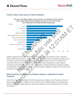#### <span id="page-8-0"></span>Family is Most Likely Source of Moral Guidance

**Are you very likely, likely, not very likely, or not likely at all to look to each of the following for guidance on how to live a moral life? (%'s represent very likely & likely responses)**



Family is reported to be the most likely source for moral guidance for Americans (79%), Christians (83%), and those who practice a religion (86%) agree. Those who report not practicing a religion (74%) site family as who they look to for moral guidance. Among Americans, the rule of law (66%) is the second most likely source of moral guidance. Fewer (63%) report being likely to consult religious teachings for moral guidance. However, those who practice a religion (90%) report religious teachings as providing the most guidance on morality. Among Christians, religious teachings (77%) are the second most likely source of moral guidance.

#### <span id="page-8-1"></span>Most Americans Do Not Look to Political Leaders or Celebrities for Moral **Guidance**

Only 16% of Americans, including 18% of those who practice a religion, 17% of Christians, and 14% of those who do not practice a religion say they are likely to look to political leaders for moral guidance. Oprah, favorite social media influencers, and favorite athletes are even less influential in one's moral development.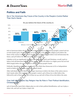#### <span id="page-9-0"></span>**Politics and Faith**

<span id="page-9-1"></span>Six in Ten Americans Say Future of the Country in the People's Control Rather Than God's Hands



60% of Americans believe the future of the country is mostly in the American people's control and not in God's hands (35%). However, nearly six in ten of those who practice a religion (57%) believe the future of the country is mostly in God's hands. Among Christians, 44% believe God will determine the future, and 52% believe the American people have control.

Catholics (27%) are significantly less likely than Protestants (52%) and Christians, overall, (44%) to believe God will determine the future of the country. Those who believe in a higher power but not God (86%) largely believe the nation's future is in the American people's hands.

Politically, Republicans (49%) are significantly more likely than Democrats (27%) or Independents (30%) to believe the fate of the nation lies in God's hands.

Older individuals are more likely than younger Americans to believe the future of the nation rests in God's hands rather than in the American people's control. 44% of those 60 or older believe this, followed by 39% of those 45-60, 30% of those 30-44, and 23% of those 18-29 who believe the same.

#### <span id="page-9-2"></span>Over Half of Americans Say Religion Has No Role in Their Political Identification, Christians Split

54% of Americans report their religion plays no role in their political identification, 23% say it plays a minor role, and 23% say it plays a major role.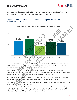However, 54% of Christians say their religion does play a major role (29%) or a minor role (25%) in their political identity. 45% of Christians say religion plays no role at all.

#### <span id="page-10-0"></span>Majority Believe Constitution & 1st Amendment Inspired by God. 2nd Amendment Not So Much



55% of Americans overall believe the U.S. Constitution was inspired by God. That proportion increases to 65% among Christians and 70% among those who practice a religion overall. Even 45% of those who do not practice a religion believe the Constitution was inspired by God.

A strong partisan divide exists on this issue of divine inspiration of the Constitution and key amendments. Looking at the Constitution as a whole, Republicans (81%) overwhelmingly believe it was inspired by God while 55% of Independents and only 36% of Democrats agree.

Americans 60 or older (62%) are the age group most likely to perceive divine inspiration as playing a role in the Constitution. Those 45-59 (59%), 30 to 44 (51%), and 18-29 (48%) follow.

62% of Americans believe that the First Amendment was inspired by God. 73% of Christians and 51% of those who do not practice a religion agree.

Americans are less convinced that divine inspiration played a role in the Second Amendment. Only 37% of adults believe God was behind the right to bear arms. 53% of Christians and 73% of non-practicing individuals believe God **did not** inspire the Second Amendment.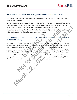#### <span id="page-11-0"></span>Americans Divide Over Whether Religion Should Influence One's Politics

52% of Americans think that someone's religious beliefs and values should not influence their politics, while 45% think it **should**.

Religious participation does have an impact on this issue. 66% of those who practice a religion and 56% of Christians believe someone's religious beliefs and values **should** influence their politics. 66% of those who do not practice a religion think one's faith **should not** impact their politics.

Republicans (70%) are significantly more likely than Democrats (28%) and Independents (45%) to believe someone's politics should be influenced by their religion.

#### <span id="page-11-1"></span>Despite Political Differences, Majority Believe Americans Have a Shared Sense of Right and Wrong

66% of Americans believe, despite political differences, most Americans have a shared sense of what is right and wrong. Religious affiliation as little impact on this sentiment. Christians (66%), those who do not practice a religion (65%), and those who consider themselves to be spiritual (67%) agree. ferences, Majority Believe Ameri<br>
e, despite political differences, most Ameri<br>
15%), and those who consider themselves to<br>
25%), and those who consider themselves to<br>
26 exists on this issue, with 67% of Democr<br>
that poli

Bipartisan consensus also exists on this issue, with 67% of Democrats, 66% of Independents, and 66% of Republicans agreeing that political differences do not create different sets of moral values to live by.

A majority of Americans do not believe that a person's belief in God (or lack thereof) results in widespread disagreement between believers and nonbelievers on most issues. 61% of adults, 58% of Christians, and 64% of those who do not practice a religion share this view.

May are significantly more likely than Democrats (28%) and Independents (<br>
Simplifics should be influenced by their religion.<br>
Cal Differences, Majority Believe Americans Have a Share<br>
Wrong<br>
Is believe, despite political is believe someones religious believes and values should individuance their politics.<br>
Solvey someones religion think one's faith should and timpact their politics.<br>
Solvey are significantly more likely than Democrats (28%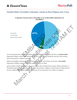## **MaristPoll**

#### <span id="page-12-0"></span>President Biden Favorability Underwater, Viewed as More Religious than Trump



41% of Americans have a favorable impression of President Biden, while 54% have an **unfavorable** impression. Biden's unfavorable number increases to 58% among Christians, and up to 62% among those who practice a religion in general.

Biden's favorability rating does however increase with age. 34% of those 18-29 have a **favorable** impression of Biden compared with 49% among those 60 or older.

49% of adults consider Joe Biden to be more religious than Donald Trump (32%). While a plurality of Christians (44%) agree, a slim plurality of those who practice a religion, overall, believe Trump (43%) to be more religious than Biden (39%). A notable one in ten Americans view neither as religious.